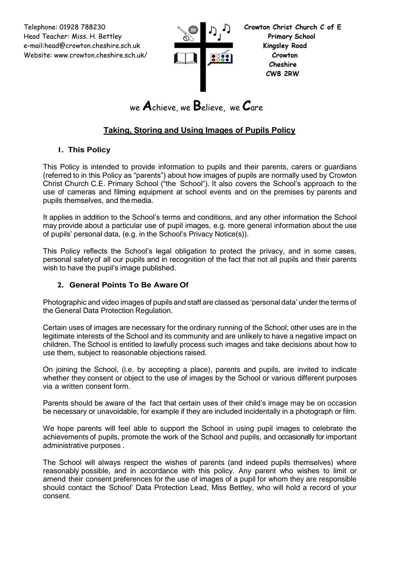Telephone: 01928 788230 **Crowton Christ Church C of E** Head Teacher: Miss. H. Bettley **Primary School**  e-mail:head@crowton.cheshire.sch.uk **Kingsley Road** Website: www.crowton.cheshire.sch.uk/ **Crowton**



 **Cheshire CW8 2RW**

# we **A**chieve, we **B**elieve, we **C**are

## **Taking, Storing and Using Images of Pupils Policy**

## **1. This Policy**

This Policy is intended to provide information to pupils and their parents, carers or guardians (referred to in this Policy as "parents") about how images of pupils are normally used by Crowton Christ Church C.E. Primary School ("the School"). It also covers the School's approach to the use of cameras and filming equipment at school events and on the premises by parents and pupils themselves, and themedia.

It applies in addition to the School's terms and conditions, and any other information the School may provide about a particular use of pupil images, e.g. more general information about the use of pupils' personal data, (e.g. in the School's Privacy Notice(s)).

This Policy reflects the School's legal obligation to protect the privacy, and in some cases, personal safetyof all our pupils and in recognition of the fact that not all pupils and their parents wish to have the pupil's image published.

## **2. General Points To Be Aware Of**

Photographic and video images of pupils and staff are classed as 'personal data' under the terms of the General Data Protection Regulation.

Certain uses of images are necessary for the ordinary running of the School; other uses are in the legitimate interests of the School and its community and are unlikely to have a negative impact on children. The School is entitled to lawfully process such images and take decisions about how to use them, subject to reasonable objections raised.

On joining the School, (i.e. by accepting a place), parents and pupils, are invited to indicate whether they consent or object to the use of images by the School or various different purposes via a written consent form.

Parents should be aware of the fact that certain uses of their child's image may be on occasion be necessary or unavoidable, for example if they are included incidentally in a photograph or film.

We hope parents will feel able to support the School in using pupil images to celebrate the achievements of pupils, promote the work of the School and pupils, and occasionally for important administrative purposes .

The School will always respect the wishes of parents (and indeed pupils themselves) where reasonably possible, and in accordance with this policy. Any parent who wishes to limit or amend their consent preferences for the use of images of a pupil for whom they are responsible should contact the School' Data Protection Lead, Miss Bettley, who will hold a record of your consent.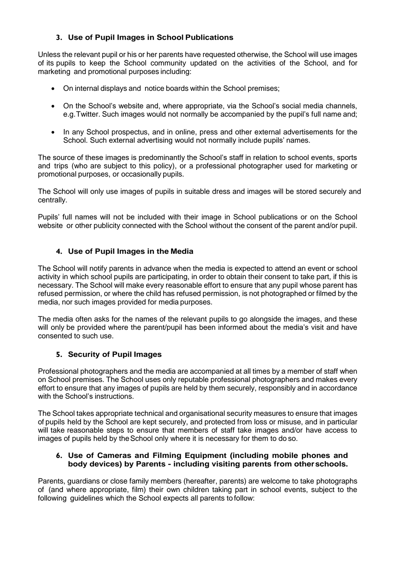## **3. Use of Pupil Images in School Publications**

Unless the relevant pupil or his or her parents have requested otherwise, the School will use images of its pupils to keep the School community updated on the activities of the School, and for marketing and promotional purposes including:

- On internal displays and notice boards within the School premises;
- On the School's website and, where appropriate, via the School's social media channels, e.g.Twitter. Such images would not normally be accompanied by the pupil's full name and;
- In any School prospectus, and in online, press and other external advertisements for the School. Such external advertising would not normally include pupils' names.

The source of these images is predominantly the School's staff in relation to school events, sports and trips (who are subject to this policy), or a professional photographer used for marketing or promotional purposes, or occasionally pupils.

The School will only use images of pupils in suitable dress and images will be stored securely and centrally.

Pupils' full names will not be included with their image in School publications or on the School website or other publicity connected with the School without the consent of the parent and/or pupil.

#### **4. Use of Pupil Images in the Media**

The School will notify parents in advance when the media is expected to attend an event or school activity in which school pupils are participating, in order to obtain their consent to take part, if this is necessary. The School will make every reasonable effort to ensure that any pupil whose parent has refused permission, or where the child has refused permission, is not photographed or filmed by the media, nor such images provided for media purposes.

The media often asks for the names of the relevant pupils to go alongside the images, and these will only be provided where the parent/pupil has been informed about the media's visit and have consented to such use.

#### **5. Security of Pupil Images**

Professional photographers and the media are accompanied at all times by a member of staff when on School premises. The School uses only reputable professional photographers and makes every effort to ensure that any images of pupils are held by them securely, responsibly and in accordance with the School's instructions.

The School takes appropriate technical and organisational security measures to ensure that images of pupils held by the School are kept securely, and protected from loss or misuse, and in particular will take reasonable steps to ensure that members of staff take images and/or have access to images of pupils held by the School only where it is necessary for them to do so.

#### **6. Use of Cameras and Filming Equipment (including mobile phones and body devices) by Parents - including visiting parents from otherschools.**

Parents, guardians or close family members (hereafter, parents) are welcome to take photographs of (and where appropriate, film) their own children taking part in school events, subject to the following guidelines which the School expects all parents to follow: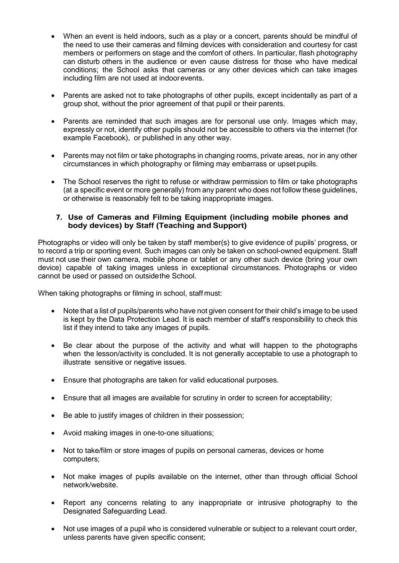- When an event is held indoors, such as a play or a concert, parents should be mindful of the need to use their cameras and filming devices with consideration and courtesy for cast members or performers on stage and the comfort of others. In particular, flash photography can disturb others in the audience or even cause distress for those who have medical conditions; the School asks that cameras or any other devices which can take images including film are not used at indoorevents.
- Parents are asked not to take photographs of other pupils, except incidentally as part of a group shot, without the prior agreement of that pupil or their parents.
- Parents are reminded that such images are for personal use only. Images which may, expressly or not, identify other pupils should not be accessible to others via the internet (for example Facebook), or published in any other way.
- Parents may not film or take photographs in changing rooms, private areas, nor in any other circumstances in which photography or filming may embarrass or upset pupils.
- The School reserves the right to refuse or withdraw permission to film or take photographs (at a specific event or more generally) from any parent who does not follow these guidelines, or otherwise is reasonably felt to be taking inappropriate images.

#### **7. Use of Cameras and Filming Equipment (including mobile phones and body devices) by Staff (Teaching and Support)**

Photographs or video will only be taken by staff member(s) to give evidence of pupils' progress, or to record a trip or sporting event. Such images can only be taken on school-owned equipment. Staff must not use their own camera, mobile phone or tablet or any other such device (bring your own device) capable of taking images unless in exceptional circumstances. Photographs or video cannot be used or passed on outsidethe School.

When taking photographs or filming in school, staff must:

- Note that a list of pupils/parents who have not given consent for their child's image to be used is kept by the Data Protection Lead. It is each member of staff's responsibility to check this list if they intend to take any images of pupils.
- Be clear about the purpose of the activity and what will happen to the photographs when the lesson/activity is concluded. It is not generally acceptable to use a photograph to illustrate sensitive or negative issues.
- Ensure that photographs are taken for valid educational purposes.
- Ensure that all images are available for scrutiny in order to screen for acceptability;
- Be able to justify images of children in their possession;
- Avoid making images in one-to-one situations;
- Not to take/film or store images of pupils on personal cameras, devices or home computers;
- Not make images of pupils available on the internet, other than through official School network/website.
- Report any concerns relating to any inappropriate or intrusive photography to the Designated Safeguarding Lead.
- Not use images of a pupil who is considered vulnerable or subject to a relevant court order, unless parents have given specific consent;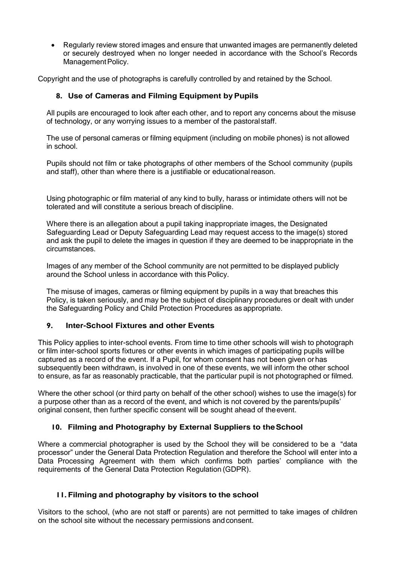Regularly review stored images and ensure that unwanted images are permanently deleted or securely destroyed when no longer needed in accordance with the School's Records Management Policy.

Copyright and the use of photographs is carefully controlled by and retained by the School.

#### **8. Use of Cameras and Filming Equipment byPupils**

All pupils are encouraged to look after each other, and to report any concerns about the misuse of technology, or any worrying issues to a member of the pastoralstaff.

The use of personal cameras or filming equipment (including on mobile phones) is not allowed in school.

Pupils should not film or take photographs of other members of the School community (pupils and staff), other than where there is a justifiable or educationalreason.

Using photographic or film material of any kind to bully, harass or intimidate others will not be tolerated and will constitute a serious breach of discipline.

Where there is an allegation about a pupil taking inappropriate images, the Designated Safeguarding Lead or Deputy Safeguarding Lead may request access to the image(s) stored and ask the pupil to delete the images in question if they are deemed to be inappropriate in the circumstances.

Images of any member of the School community are not permitted to be displayed publicly around the School unless in accordance with thisPolicy.

The misuse of images, cameras or filming equipment by pupils in a way that breaches this Policy, is taken seriously, and may be the subject of disciplinary procedures or dealt with under the Safeguarding Policy and Child Protection Procedures as appropriate.

#### **9. Inter-School Fixtures and other Events**

This Policy applies to inter-school events. From time to time other schools will wish to photograph or film inter-school sports fixtures or other events in which images of participating pupils willbe captured as a record of the event. If a Pupil, for whom consent has not been given orhas subsequently been withdrawn, is involved in one of these events, we will inform the other school to ensure, as far as reasonably practicable, that the particular pupil is not photographed or filmed.

Where the other school (or third party on behalf of the other school) wishes to use the image(s) for a purpose other than as a record of the event, and which is not covered by the parents/pupils' original consent, then further specific consent will be sought ahead of theevent.

#### **10. Filming and Photography by External Suppliers to theSchool**

Where a commercial photographer is used by the School they will be considered to be a "data" processor" under the General Data Protection Regulation and therefore the School will enter into a Data Processing Agreement with them which confirms both parties' compliance with the requirements of the General Data Protection Regulation (GDPR).

#### **11. Filming and photography by visitors to the school**

Visitors to the school, (who are not staff or parents) are not permitted to take images of children on the school site without the necessary permissions andconsent.